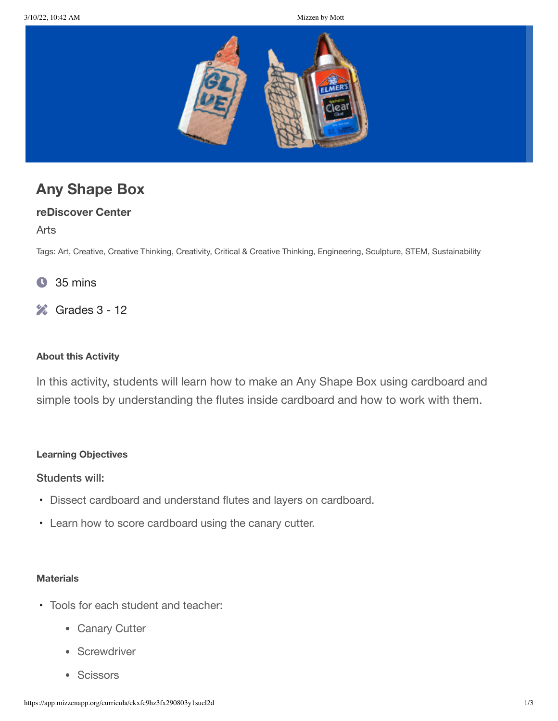

# **Any Shape Box**

# **reDiscover Center**

Arts

Tags: Art, Creative, Creative Thinking, Creativity, Critical & Creative Thinking, Engineering, Sculpture, STEM, Sustainability

- 35 mins  $\bullet$
- $\%$  Grades 3 12

#### **About this Activity**

In this activity, students will learn how to make an Any Shape Box using cardboard and simple tools by understanding the flutes inside cardboard and how to work with them.

#### **Learning Objectives**

# Students will:

- Dissect cardboard and understand flutes and layers on cardboard.
- Learn how to score cardboard using the canary cutter.

#### **Materials**

- Tools for each student and teacher:
	- Canary Cutter
	- Screwdriver
	- Scissors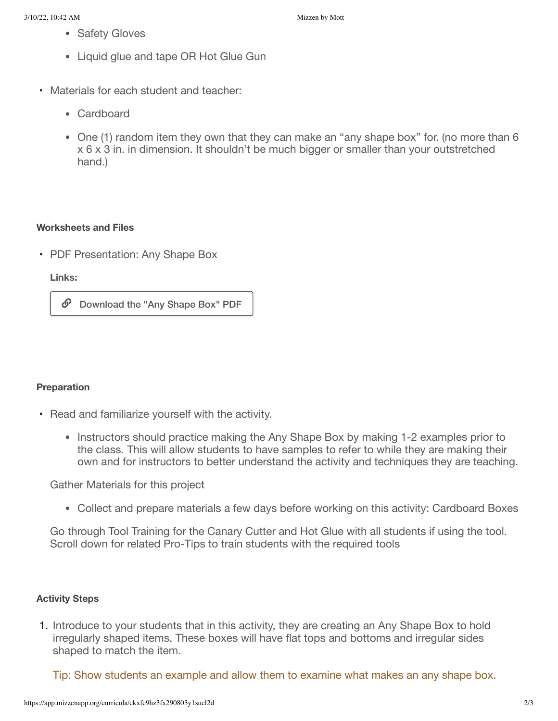- Safety Gloves
- Liquid glue and tape OR Hot Glue Gun
- Materials for each student and teacher:
	- Cardboard
	- One (1) random item they own that they can make an "any shape box" for. (no more than 6 x 6 x 3 in. in dimension. It shouldn't be much bigger or smaller than your outstretched hand.)

# **Worksheets and Files**

• PDF Presentation: Any Shape Box

**Links:**

 $\mathcal{O}$  Download the "Any Shape Box" PDF

# **Preparation**

- Read and familiarize yourself with the activity.
	- Instructors should practice making the Any Shape Box by making 1-2 examples prior to the class. This will allow students to have samples to refer to while they are making their own and for instructors to better understand the activity and techniques they are teaching.

Gather Materials for this project

Collect and prepare materials a few days before working on this activity: Cardboard Boxes

Go through Tool Training for the Canary Cutter and Hot Glue with all students if using the tool. Scroll down for related Pro-Tips to train students with the required tools

# **Activity Steps**

1. Introduce to your students that in this activity, they are creating an Any Shape Box to hold irregularly shaped items. These boxes will have flat tops and bottoms and irregular sides shaped to match the item.

Tip: Show students an example and allow them to examine what makes an any shape box.